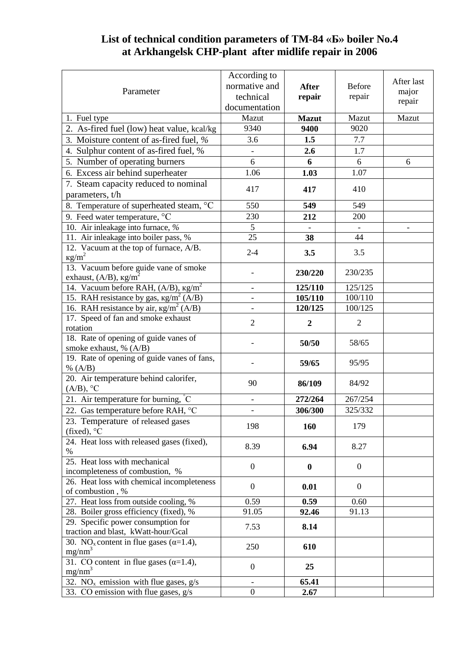## **List of technical condition parameters of ТM-84 «Б» boiler No.4 at Arkhangelsk CHP-plant after midlife repair in 2006**

|                                                             | According to                 |                  |                |                 |
|-------------------------------------------------------------|------------------------------|------------------|----------------|-----------------|
| Parameter                                                   | normative and                | <b>After</b>     | <b>Before</b>  | After last      |
|                                                             | technical                    | repair           | repair         | major<br>repair |
|                                                             | documentation                |                  |                |                 |
| 1. Fuel type                                                | Mazut                        | <b>Mazut</b>     | Mazut          | Mazut           |
| 2. As-fired fuel (low) heat value, kcal/kg                  | 9340                         | 9400             | 9020           |                 |
| 3. Moisture content of as-fired fuel, %                     | 3.6                          | 1.5              | $7.7\,$        |                 |
| 4. Sulphur content of as-fired fuel, %                      | $\qquad \qquad -$            | 2.6              | 1.7            |                 |
| 5. Number of operating burners                              | 6                            | 6                | 6              | 6               |
| 6. Excess air behind superheater                            | 1.06                         | 1.03             | 1.07           |                 |
|                                                             |                              |                  |                |                 |
| 7. Steam capacity reduced to nominal                        | 417                          | 417              | 410            |                 |
| parameters, t/h                                             |                              |                  |                |                 |
| 8. Temperature of superheated steam, °C                     | 550                          | 549              | 549            |                 |
| 9. Feed water temperature, °C                               | 230                          | 212              | 200            |                 |
| 10. Air inleakage into furnace, %                           | 5                            |                  |                |                 |
| 11. Air inleakage into boiler pass, %                       | 25                           | 38               | 44             |                 |
| 12. Vacuum at the top of furnace, A/B.                      | $2 - 4$                      | 3.5              | 3.5            |                 |
| $\text{kg/m}^2$                                             |                              |                  |                |                 |
| 13. Vacuum before guide vane of smoke                       |                              | 230/220          | 230/235        |                 |
| exhaust, $(A/B)$ , $\text{kg/m}^2$                          |                              |                  |                |                 |
| 14. Vacuum before RAH, $(A/B)$ , $\text{kg/m}^2$            | $\overline{\phantom{a}}$     | 125/110          | 125/125        |                 |
| 15. RAH resistance by gas, $\text{kg/m}^2$ (A/B)            | $\overline{\phantom{a}}$     | 105/110          | 100/110        |                 |
| 16. RAH resistance by air, $\text{kg/m}^2$ (A/B)            | $\qquad \qquad \blacksquare$ | 120/125          | 100/125        |                 |
| 17. Speed of fan and smoke exhaust<br>rotation              | $\overline{2}$               | $\boldsymbol{2}$ | $\overline{2}$ |                 |
| 18. Rate of opening of guide vanes of                       |                              | 50/50            | 58/65          |                 |
| smoke exhaust, % (A/B)                                      |                              |                  |                |                 |
| 19. Rate of opening of guide vanes of fans,                 |                              | 59/65            | 95/95          |                 |
| % $(A/B)$                                                   |                              |                  |                |                 |
| 20. Air temperature behind calorifer,                       | 90                           | 86/109           | 84/92          |                 |
| $(A/B)$ , °C                                                |                              |                  |                |                 |
| 21. Air temperature for burning, $\degree$ C                | $\frac{1}{2}$                | 272/264          | 267/254        |                 |
| 22. Gas temperature before RAH, °C                          | $\overline{\phantom{a}}$     | 306/300          | 325/332        |                 |
| 23. Temperature of released gases                           | 198                          |                  | 179            |                 |
| (fixed), $^{\circ}C$                                        |                              | 160              |                |                 |
| 24. Heat loss with released gases (fixed),                  |                              |                  |                |                 |
| $\%$                                                        | 8.39                         | 6.94             | 8.27           |                 |
| 25. Heat loss with mechanical                               | $\overline{0}$               | $\bf{0}$         | $\overline{0}$ |                 |
| incompleteness of combustion, %                             |                              |                  |                |                 |
| 26. Heat loss with chemical incompleteness                  | $\overline{0}$               | 0.01             | $\mathbf{0}$   |                 |
| of combustion, %                                            |                              |                  |                |                 |
| 27. Heat loss from outside cooling, %                       | 0.59                         | 0.59             | 0.60           |                 |
| 28. Boiler gross efficiency (fixed), %                      | 91.05                        | 92.46            | 91.13          |                 |
| 29. Specific power consumption for                          | 7.53                         | 8.14             |                |                 |
| traction and blast, kWatt-hour/Gcal                         |                              |                  |                |                 |
| 30. NO <sub>x</sub> content in flue gases ( $\alpha$ =1.4), | 250                          | 610              |                |                 |
| mg/nm <sup>3</sup>                                          |                              |                  |                |                 |
| 31. CO content in flue gases $(\alpha=1.4)$ ,               | $\boldsymbol{0}$             | 25               |                |                 |
| $mg/nm^3$                                                   |                              |                  |                |                 |
| 32. NO <sub>x</sub> emission with flue gases, $g/s$         | $\overline{\phantom{a}}$     | 65.41            |                |                 |
| 33. CO emission with flue gases, g/s                        | $\boldsymbol{0}$             | 2.67             |                |                 |